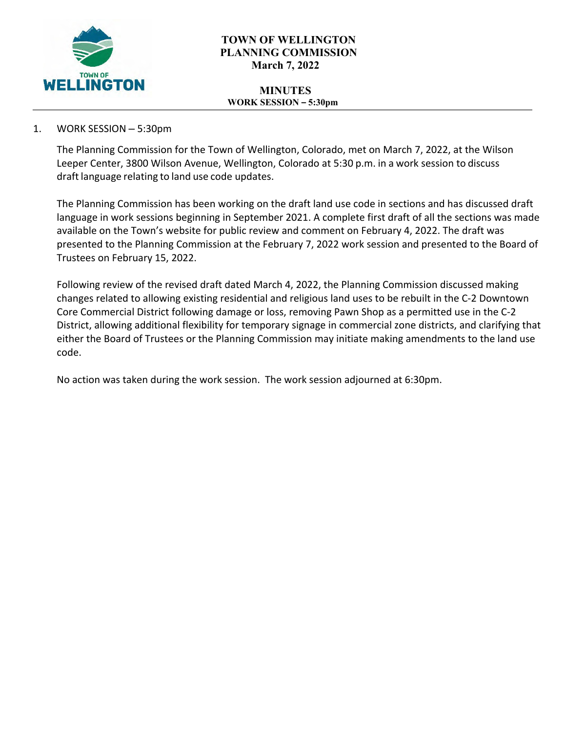

# **TOWN OF WELLINGTON PLANNING COMMISSION March 7, 2022**

#### **MINUTES WORK SESSION – 5:30pm**

# 1. WORK SESSION – 5:30pm

The Planning Commission for the Town of Wellington, Colorado, met on March 7, 2022, at the Wilson Leeper Center, 3800 Wilson Avenue, Wellington, Colorado at 5:30 p.m. in a work session to discuss draft language relating to land use code updates.

The Planning Commission has been working on the draft land use code in sections and has discussed draft language in work sessions beginning in September 2021. A complete first draft of all the sections was made available on the Town's website for public review and comment on February 4, 2022. The draft was presented to the Planning Commission at the February 7, 2022 work session and presented to the Board of Trustees on February 15, 2022.

Following review of the revised draft dated March 4, 2022, the Planning Commission discussed making changes related to allowing existing residential and religious land uses to be rebuilt in the C-2 Downtown Core Commercial District following damage or loss, removing Pawn Shop as a permitted use in the C-2 District, allowing additional flexibility for temporary signage in commercial zone districts, and clarifying that either the Board of Trustees or the Planning Commission may initiate making amendments to the land use code.

No action was taken during the work session. The work session adjourned at 6:30pm.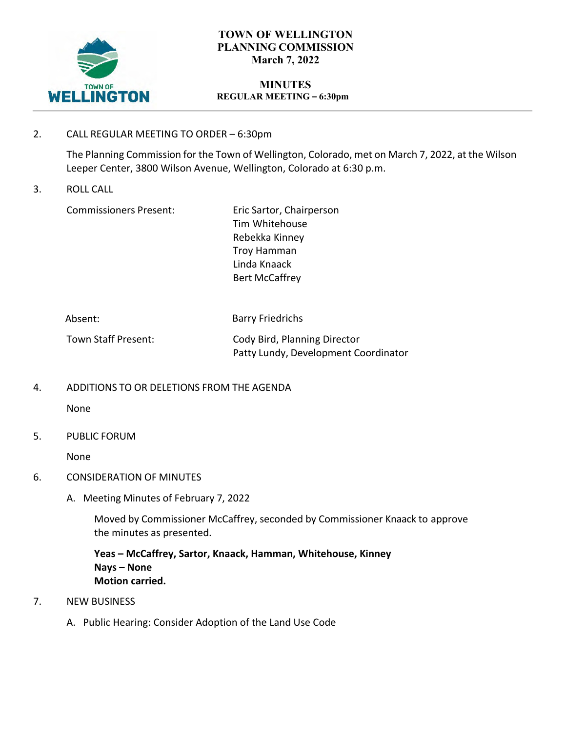

# **TOWN OF WELLINGTON PLANNING COMMISSION March 7, 2022**

#### **MINUTES REGULAR MEETING – 6:30pm**

2. CALL REGULAR MEETING TO ORDER – 6:30pm

The Planning Commission for the Town of Wellington, Colorado, met on March 7, 2022, at the Wilson Leeper Center, 3800 Wilson Avenue, Wellington, Colorado at 6:30 p.m.

3. ROLL CALL

Commissioners Present:

Eric Sartor, Chairperson Tim Whitehouse Rebekka Kinney Troy Hamman Linda Knaack Bert McCaffrey

| Absent:             | <b>Barry Friedrichs</b>              |
|---------------------|--------------------------------------|
| Town Staff Present: | Cody Bird, Planning Director         |
|                     | Patty Lundy, Development Coordinator |

4. ADDITIONS TO OR DELETIONS FROM THE AGENDA

None

5. PUBLIC FORUM

None

- 6. CONSIDERATION OF MINUTES
	- A. Meeting Minutes of February 7, 2022

Moved by Commissioner McCaffrey, seconded by Commissioner Knaack to approve the minutes as presented.

**Yeas – McCaffrey, Sartor, Knaack, Hamman, Whitehouse, Kinney Nays – None Motion carried.**

- 7. NEW BUSINESS
	- A. Public Hearing: Consider Adoption of the Land Use Code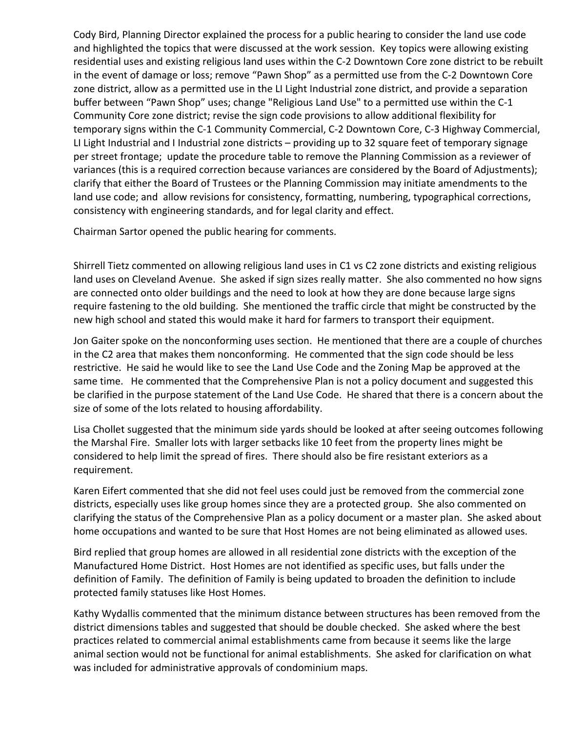Cody Bird, Planning Director explained the process for a public hearing to consider the land use code and highlighted the topics that were discussed at the work session. Key topics were allowing existing residential uses and existing religious land uses within the C-2 Downtown Core zone district to be rebuilt in the event of damage or loss; remove "Pawn Shop" as a permitted use from the C-2 Downtown Core zone district, allow as a permitted use in the LI Light Industrial zone district, and provide a separation buffer between "Pawn Shop" uses; change "Religious Land Use" to a permitted use within the C-1 Community Core zone district; revise the sign code provisions to allow additional flexibility for temporary signs within the C-1 Community Commercial, C-2 Downtown Core, C-3 Highway Commercial, LI Light Industrial and I Industrial zone districts – providing up to 32 square feet of temporary signage per street frontage; update the procedure table to remove the Planning Commission as a reviewer of variances (this is a required correction because variances are considered by the Board of Adjustments); clarify that either the Board of Trustees or the Planning Commission may initiate amendments to the land use code; and allow revisions for consistency, formatting, numbering, typographical corrections, consistency with engineering standards, and for legal clarity and effect.

Chairman Sartor opened the public hearing for comments.

Shirrell Tietz commented on allowing religious land uses in C1 vs C2 zone districts and existing religious land uses on Cleveland Avenue. She asked if sign sizes really matter. She also commented no how signs are connected onto older buildings and the need to look at how they are done because large signs require fastening to the old building. She mentioned the traffic circle that might be constructed by the new high school and stated this would make it hard for farmers to transport their equipment.

Jon Gaiter spoke on the nonconforming uses section. He mentioned that there are a couple of churches in the C2 area that makes them nonconforming. He commented that the sign code should be less restrictive. He said he would like to see the Land Use Code and the Zoning Map be approved at the same time. He commented that the Comprehensive Plan is not a policy document and suggested this be clarified in the purpose statement of the Land Use Code. He shared that there is a concern about the size of some of the lots related to housing affordability.

Lisa Chollet suggested that the minimum side yards should be looked at after seeing outcomes following the Marshal Fire. Smaller lots with larger setbacks like 10 feet from the property lines might be considered to help limit the spread of fires. There should also be fire resistant exteriors as a requirement.

Karen Eifert commented that she did not feel uses could just be removed from the commercial zone districts, especially uses like group homes since they are a protected group. She also commented on clarifying the status of the Comprehensive Plan as a policy document or a master plan. She asked about home occupations and wanted to be sure that Host Homes are not being eliminated as allowed uses.

Bird replied that group homes are allowed in all residential zone districts with the exception of the Manufactured Home District. Host Homes are not identified as specific uses, but falls under the definition of Family. The definition of Family is being updated to broaden the definition to include protected family statuses like Host Homes.

Kathy Wydallis commented that the minimum distance between structures has been removed from the district dimensions tables and suggested that should be double checked. She asked where the best practices related to commercial animal establishments came from because it seems like the large animal section would not be functional for animal establishments. She asked for clarification on what was included for administrative approvals of condominium maps.